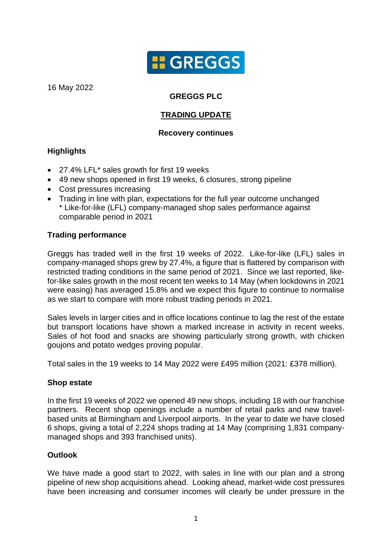

16 May 2022

# **GREGGS PLC**

## **TRADING UPDATE**

#### **Recovery continues**

## **Highlights**

- 27.4% LFL\* sales growth for first 19 weeks
- 49 new shops opened in first 19 weeks, 6 closures, strong pipeline
- Cost pressures increasing
- Trading in line with plan, expectations for the full year outcome unchanged \* Like-for-like (LFL) company-managed shop sales performance against comparable period in 2021

#### **Trading performance**

Greggs has traded well in the first 19 weeks of 2022. Like-for-like (LFL) sales in company-managed shops grew by 27.4%, a figure that is flattered by comparison with restricted trading conditions in the same period of 2021. Since we last reported, likefor-like sales growth in the most recent ten weeks to 14 May (when lockdowns in 2021 were easing) has averaged 15.8% and we expect this figure to continue to normalise as we start to compare with more robust trading periods in 2021.

Sales levels in larger cities and in office locations continue to lag the rest of the estate but transport locations have shown a marked increase in activity in recent weeks. Sales of hot food and snacks are showing particularly strong growth, with chicken goujons and potato wedges proving popular.

Total sales in the 19 weeks to 14 May 2022 were £495 million (2021: £378 million).

#### **Shop estate**

In the first 19 weeks of 2022 we opened 49 new shops, including 18 with our franchise partners. Recent shop openings include a number of retail parks and new travelbased units at Birmingham and Liverpool airports. In the year to date we have closed 6 shops, giving a total of 2,224 shops trading at 14 May (comprising 1,831 companymanaged shops and 393 franchised units).

## **Outlook**

We have made a good start to 2022, with sales in line with our plan and a strong pipeline of new shop acquisitions ahead. Looking ahead, market-wide cost pressures have been increasing and consumer incomes will clearly be under pressure in the